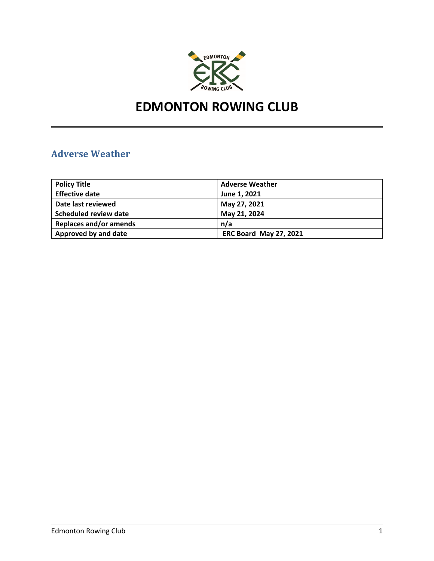

# **EDMONTON ROWING CLUB**

# **Adverse Weather**

| <b>Policy Title</b>           | <b>Adverse Weather</b>        |
|-------------------------------|-------------------------------|
| <b>Effective date</b>         | June 1, 2021                  |
| Date last reviewed            | May 27, 2021                  |
| Scheduled review date         | May 21, 2024                  |
| <b>Replaces and/or amends</b> | n/a                           |
| Approved by and date          | <b>ERC Board May 27, 2021</b> |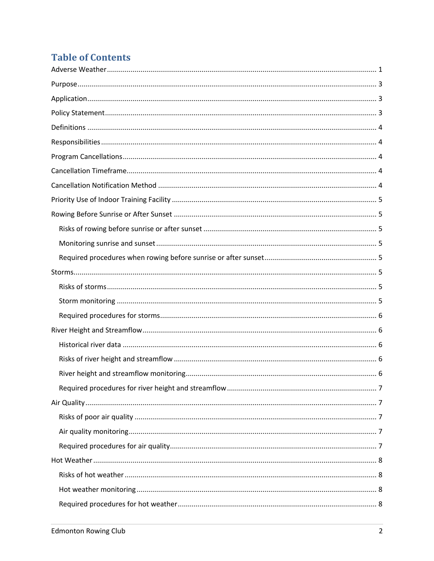# **Table of Contents**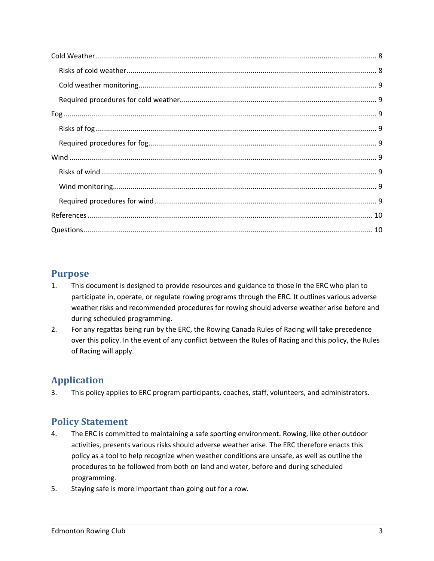# **Purpose**

- 1. This document is designed to provide resources and guidance to those in the ERC who plan to participate in, operate, or regulate rowing programs through the ERC. It outlines various adverse weather risks and recommended procedures for rowing should adverse weather arise before and during scheduled programming.
- 2. For any regattas being run by the ERC, the Rowing Canada Rules of Racing will take precedence over this policy. In the event of any conflict between the Rules of Racing and this policy, the Rules of Racing will apply.

# **Application**

3. This policy applies to ERC program participants, coaches, staff, volunteers, and administrators.

# **Policy Statement**

- 4. The ERC is committed to maintaining a safe sporting environment. Rowing, like other outdoor activities, presents various risks should adverse weather arise. The ERC therefore enacts this policy as a tool to help recognize when weather conditions are unsafe, as well as outline the procedures to be followed from both on land and water, before and during scheduled programming.
- 5. Staying safe is more important than going out for a row.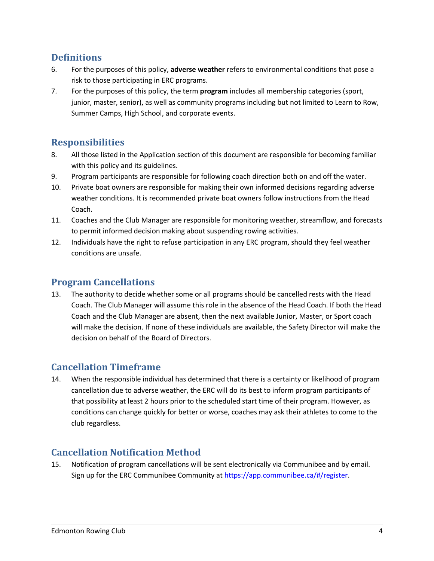# **Definitions**

- 6. For the purposes of this policy, **adverse weather** refers to environmental conditions that pose a risk to those participating in ERC programs.
- 7. For the purposes of this policy, the term **program** includes all membership categories (sport, junior, master, senior), as well as community programs including but not limited to Learn to Row, Summer Camps, High School, and corporate events.

# **Responsibilities**

- 8. All those listed in the Application section of this document are responsible for becoming familiar with this policy and its guidelines.
- 9. Program participants are responsible for following coach direction both on and off the water.
- 10. Private boat owners are responsible for making their own informed decisions regarding adverse weather conditions. It is recommended private boat owners follow instructions from the Head Coach.
- 11. Coaches and the Club Manager are responsible for monitoring weather, streamflow, and forecasts to permit informed decision making about suspending rowing activities.
- 12. Individuals have the right to refuse participation in any ERC program, should they feel weather conditions are unsafe.

# **Program Cancellations**

13. The authority to decide whether some or all programs should be cancelled rests with the Head Coach. The Club Manager will assume this role in the absence of the Head Coach. If both the Head Coach and the Club Manager are absent, then the next available Junior, Master, or Sport coach will make the decision. If none of these individuals are available, the Safety Director will make the decision on behalf of the Board of Directors.

# **Cancellation Timeframe**

14. When the responsible individual has determined that there is a certainty or likelihood of program cancellation due to adverse weather, the ERC will do its best to inform program participants of that possibility at least 2 hours prior to the scheduled start time of their program. However, as conditions can change quickly for better or worse, coaches may ask their athletes to come to the club regardless.

# **Cancellation Notification Method**

15. Notification of program cancellations will be sent electronically via Communibee and by email. Sign up for the ERC Communibee Community at https://app.communibee.ca/#/register.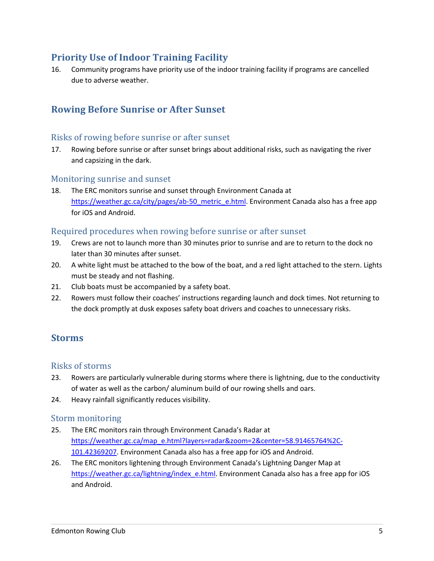# **Priority Use of Indoor Training Facility**

16. Community programs have priority use of the indoor training facility if programs are cancelled due to adverse weather.

## **Rowing Before Sunrise or After Sunset**

#### Risks of rowing before sunrise or after sunset

17. Rowing before sunrise or after sunset brings about additional risks, such as navigating the river and capsizing in the dark.

#### Monitoring sunrise and sunset

18. The ERC monitors sunrise and sunset through Environment Canada at https://weather.gc.ca/city/pages/ab-50\_metric\_e.html. Environment Canada also has a free app for iOS and Android.

#### Required procedures when rowing before sunrise or after sunset

- 19. Crews are not to launch more than 30 minutes prior to sunrise and are to return to the dock no later than 30 minutes after sunset.
- 20. A white light must be attached to the bow of the boat, and a red light attached to the stern. Lights must be steady and not flashing.
- 21. Club boats must be accompanied by a safety boat.
- 22. Rowers must follow their coaches' instructions regarding launch and dock times. Not returning to the dock promptly at dusk exposes safety boat drivers and coaches to unnecessary risks.

### **Storms**

#### Risks of storms

- 23. Rowers are particularly vulnerable during storms where there is lightning, due to the conductivity of water as well as the carbon/ aluminum build of our rowing shells and oars.
- 24. Heavy rainfall significantly reduces visibility.

#### Storm monitoring

- 25. The ERC monitors rain through Environment Canada's Radar at https://weather.gc.ca/map\_e.html?layers=radar&zoom=2&center=58.91465764%2C-101.42369207. Environment Canada also has a free app for iOS and Android.
- 26. The ERC monitors lightening through Environment Canada's Lightning Danger Map at https://weather.gc.ca/lightning/index\_e.html. Environment Canada also has a free app for iOS and Android.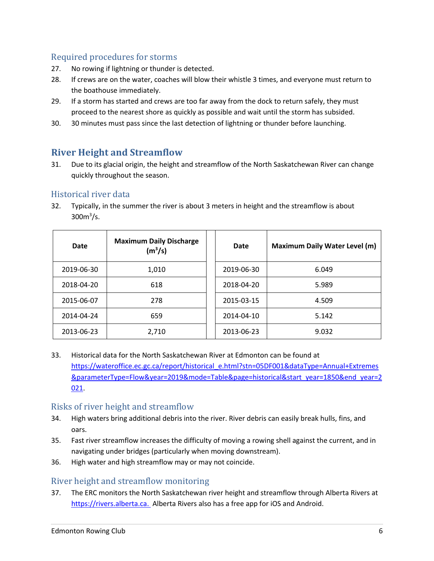### Required procedures for storms

- 27. No rowing if lightning or thunder is detected.
- 28. If crews are on the water, coaches will blow their whistle 3 times, and everyone must return to the boathouse immediately.
- 29. If a storm has started and crews are too far away from the dock to return safely, they must proceed to the nearest shore as quickly as possible and wait until the storm has subsided.
- 30. 30 minutes must pass since the last detection of lightning or thunder before launching.

# **River Height and Streamflow**

31. Due to its glacial origin, the height and streamflow of the North Saskatchewan River can change quickly throughout the season.

### Historical river data

32. Typically, in the summer the river is about 3 meters in height and the streamflow is about  $300<sup>3</sup>/s.$ 

| Date       | <b>Maximum Daily Discharge</b><br>(m <sup>3</sup> /s) | Date       | <b>Maximum Daily Water Level (m)</b> |
|------------|-------------------------------------------------------|------------|--------------------------------------|
| 2019-06-30 | 1,010                                                 | 2019-06-30 | 6.049                                |
| 2018-04-20 | 618                                                   | 2018-04-20 | 5.989                                |
| 2015-06-07 | 278                                                   | 2015-03-15 | 4.509                                |
| 2014-04-24 | 659                                                   | 2014-04-10 | 5.142                                |
| 2013-06-23 | 2,710                                                 | 2013-06-23 | 9.032                                |

33. Historical data for the North Saskatchewan River at Edmonton can be found at https://wateroffice.ec.gc.ca/report/historical\_e.html?stn=05DF001&dataType=Annual+Extremes &parameterType=Flow&year=2019&mode=Table&page=historical&start\_year=1850&end\_year=2 021.

### Risks of river height and streamflow

- 34. High waters bring additional debris into the river. River debris can easily break hulls, fins, and oars.
- 35. Fast river streamflow increases the difficulty of moving a rowing shell against the current, and in navigating under bridges (particularly when moving downstream).
- 36. High water and high streamflow may or may not coincide.

### River height and streamflow monitoring

37. The ERC monitors the North Saskatchewan river height and streamflow through Alberta Rivers at https://rivers.alberta.ca. Alberta Rivers also has a free app for iOS and Android.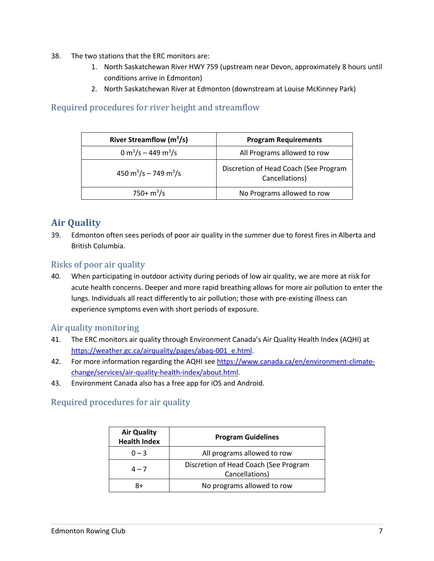- 38. The two stations that the ERC monitors are:
	- 1. North Saskatchewan River HWY 759 (upstream near Devon, approximately 8 hours until conditions arrive in Edmonton)
	- 2. North Saskatchewan River at Edmonton (downstream at Louise McKinney Park)

### Required procedures for river height and streamflow

| River Streamflow $(m^3/s)$                    | <b>Program Requirements</b>                             |
|-----------------------------------------------|---------------------------------------------------------|
| 0 m <sup>3</sup> /s – 449 m <sup>3</sup> /s   | All Programs allowed to row                             |
| 450 m <sup>3</sup> /s – 749 m <sup>3</sup> /s | Discretion of Head Coach (See Program<br>Cancellations) |
| $750 + m^3/s$                                 | No Programs allowed to row                              |

# **Air Quality**

39. Edmonton often sees periods of poor air quality in the summer due to forest fires in Alberta and British Columbia.

### Risks of poor air quality

40. When participating in outdoor activity during periods of low air quality, we are more at risk for acute health concerns. Deeper and more rapid breathing allows for more air pollution to enter the lungs. Individuals all react differently to air pollution; those with pre-existing illness can experience symptoms even with short periods of exposure.

#### Air quality monitoring

- 41. The ERC monitors air quality through Environment Canada's Air Quality Health Index (AQHI) at https://weather.gc.ca/airquality/pages/abaq-001\_e.html.
- 42. For more information regarding the AQHI see https://www.canada.ca/en/environment-climatechange/services/air-quality-health-index/about.html.
- 43. Environment Canada also has a free app for iOS and Android.

## Required procedures for air quality

| <b>Air Quality</b><br><b>Health Index</b> | <b>Program Guidelines</b>                               |  |
|-------------------------------------------|---------------------------------------------------------|--|
| $0 - 3$                                   | All programs allowed to row                             |  |
| $4 - 7$                                   | Discretion of Head Coach (See Program<br>Cancellations) |  |
| 8+                                        | No programs allowed to row                              |  |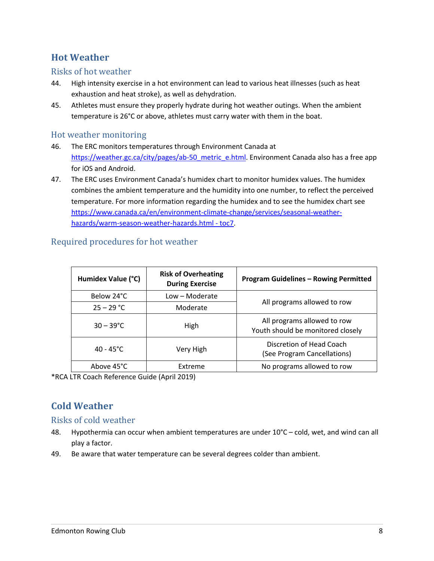# **Hot Weather**

#### Risks of hot weather

- 44. High intensity exercise in a hot environment can lead to various heat illnesses (such as heat exhaustion and heat stroke), as well as dehydration.
- 45. Athletes must ensure they properly hydrate during hot weather outings. When the ambient temperature is 26°C or above, athletes must carry water with them in the boat.

#### Hot weather monitoring

- 46. The ERC monitors temperatures through Environment Canada at https://weather.gc.ca/city/pages/ab-50\_metric\_e.html. Environment Canada also has a free app for iOS and Android.
- 47. The ERC uses Environment Canada's humidex chart to monitor humidex values. The humidex combines the ambient temperature and the humidity into one number, to reflect the perceived temperature. For more information regarding the humidex and to see the humidex chart see https://www.canada.ca/en/environment-climate-change/services/seasonal-weatherhazards/warm-season-weather-hazards.html - toc7.

| Humidex Value (°C)  | <b>Risk of Overheating</b><br><b>During Exercise</b> | <b>Program Guidelines - Rowing Permitted</b>                     |  |
|---------------------|------------------------------------------------------|------------------------------------------------------------------|--|
| Below 24°C          | Low - Moderate                                       |                                                                  |  |
| $25 - 29 °C$        | Moderate                                             | All programs allowed to row                                      |  |
| $30 - 39^{\circ}$ C | High                                                 | All programs allowed to row<br>Youth should be monitored closely |  |
| $40 - 45^{\circ}$ C | Very High                                            | Discretion of Head Coach<br>(See Program Cancellations)          |  |
| Above 45°C          | Extreme                                              | No programs allowed to row                                       |  |

#### Required procedures for hot weather

\*RCA LTR Coach Reference Guide (April 2019)

# **Cold Weather**

#### Risks of cold weather

- 48. Hypothermia can occur when ambient temperatures are under 10°C cold, wet, and wind can all play a factor.
- 49. Be aware that water temperature can be several degrees colder than ambient.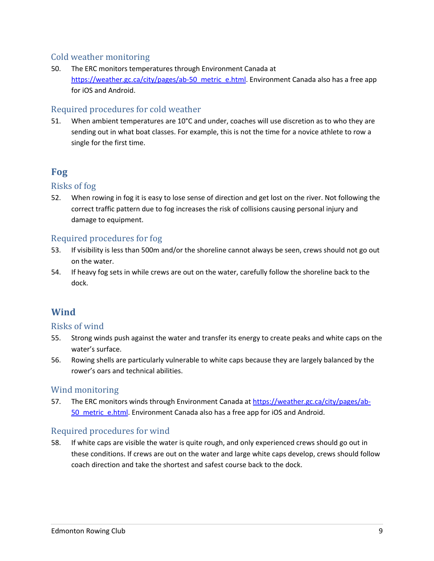### Cold weather monitoring

50. The ERC monitors temperatures through Environment Canada at https://weather.gc.ca/city/pages/ab-50\_metric\_e.html. Environment Canada also has a free app for iOS and Android.

### Required procedures for cold weather

51. When ambient temperatures are 10°C and under, coaches will use discretion as to who they are sending out in what boat classes. For example, this is not the time for a novice athlete to row a single for the first time.

# **Fog**

#### Risks of fog

52. When rowing in fog it is easy to lose sense of direction and get lost on the river. Not following the correct traffic pattern due to fog increases the risk of collisions causing personal injury and damage to equipment.

### Required procedures for fog

- 53. If visibility is less than 500m and/or the shoreline cannot always be seen, crews should not go out on the water.
- 54. If heavy fog sets in while crews are out on the water, carefully follow the shoreline back to the dock.

## **Wind**

#### Risks of wind

- 55. Strong winds push against the water and transfer its energy to create peaks and white caps on the water's surface.
- 56. Rowing shells are particularly vulnerable to white caps because they are largely balanced by the rower's oars and technical abilities.

#### Wind monitoring

57. The ERC monitors winds through Environment Canada at https://weather.gc.ca/city/pages/ab-50 metric e.html. Environment Canada also has a free app for iOS and Android.

#### Required procedures for wind

58. If white caps are visible the water is quite rough, and only experienced crews should go out in these conditions. If crews are out on the water and large white caps develop, crews should follow coach direction and take the shortest and safest course back to the dock.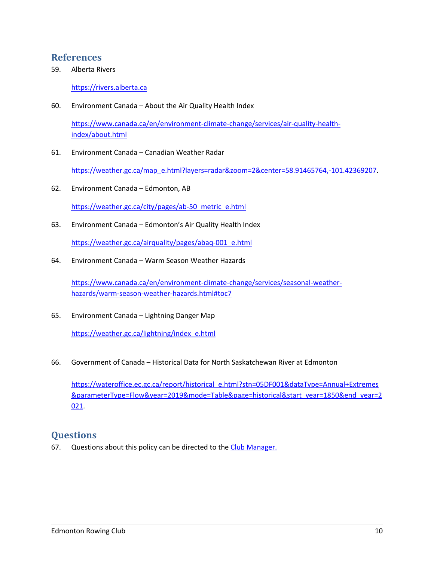### **References**

59. Alberta Rivers

https://rivers.alberta.ca

60. Environment Canada – About the Air Quality Health Index

https://www.canada.ca/en/environment-climate-change/services/air-quality-healthindex/about.html

61. Environment Canada – Canadian Weather Radar

https://weather.gc.ca/map\_e.html?layers=radar&zoom=2&center=58.91465764,-101.42369207.

- 62. Environment Canada Edmonton, AB https://weather.gc.ca/city/pages/ab-50\_metric\_e.html
- 63. Environment Canada Edmonton's Air Quality Health Index

https://weather.gc.ca/airquality/pages/abaq-001\_e.html

64. Environment Canada – Warm Season Weather Hazards

https://www.canada.ca/en/environment-climate-change/services/seasonal-weatherhazards/warm-season-weather-hazards.html#toc7

65. Environment Canada – Lightning Danger Map

https://weather.gc.ca/lightning/index\_e.html

66. Government of Canada – Historical Data for North Saskatchewan River at Edmonton

https://wateroffice.ec.gc.ca/report/historical\_e.html?stn=05DF001&dataType=Annual+Extremes &parameterType=Flow&year=2019&mode=Table&page=historical&start\_year=1850&end\_year=2 021.

## **Questions**

67. Questions about this policy can be directed to the Club Manager.